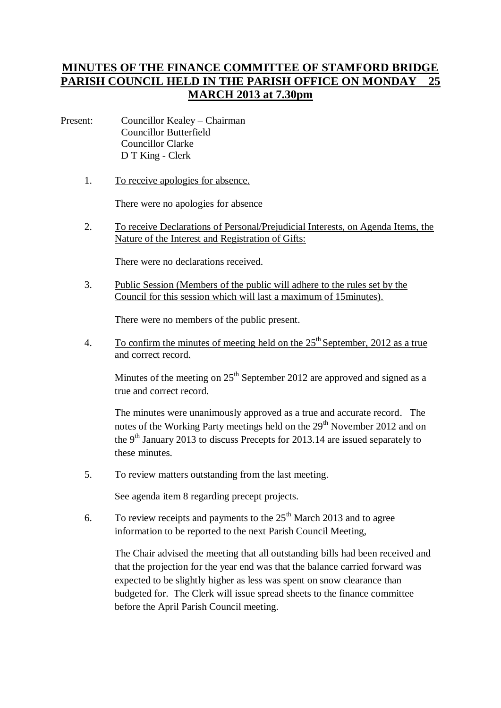## **MINUTES OF THE FINANCE COMMITTEE OF STAMFORD BRIDGE PARISH COUNCIL HELD IN THE PARISH OFFICE ON MONDAY 25 MARCH 2013 at 7.30pm**

- Present: Councillor Kealey Chairman Councillor Butterfield Councillor Clarke D T King - Clerk
	- 1. To receive apologies for absence.

There were no apologies for absence

2. To receive Declarations of Personal/Prejudicial Interests, on Agenda Items, the Nature of the Interest and Registration of Gifts:

There were no declarations received.

3. Public Session (Members of the public will adhere to the rules set by the Council for this session which will last a maximum of 15minutes).

There were no members of the public present.

4. To confirm the minutes of meeting held on the  $25<sup>th</sup>$  September, 2012 as a true and correct record.

Minutes of the meeting on  $25<sup>th</sup>$  September 2012 are approved and signed as a true and correct record.

The minutes were unanimously approved as a true and accurate record. The notes of the Working Party meetings held on the  $29<sup>th</sup>$  November 2012 and on the 9<sup>th</sup> January 2013 to discuss Precepts for 2013.14 are issued separately to these minutes.

5. To review matters outstanding from the last meeting.

See agenda item 8 regarding precept projects.

6. To review receipts and payments to the  $25<sup>th</sup>$  March 2013 and to agree information to be reported to the next Parish Council Meeting,

The Chair advised the meeting that all outstanding bills had been received and that the projection for the year end was that the balance carried forward was expected to be slightly higher as less was spent on snow clearance than budgeted for. The Clerk will issue spread sheets to the finance committee before the April Parish Council meeting.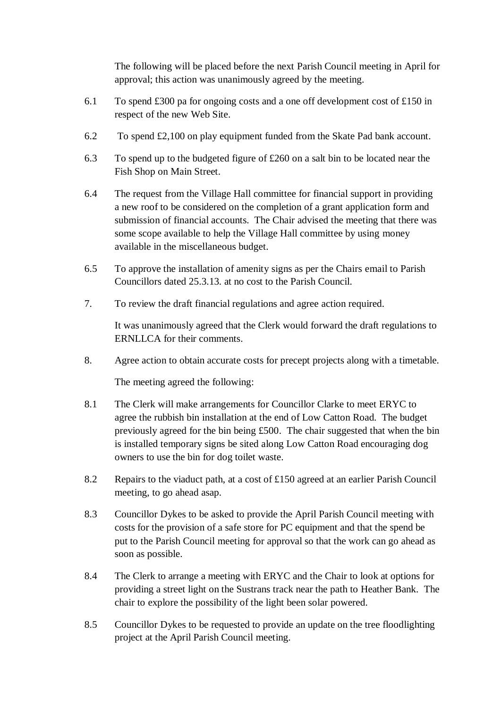The following will be placed before the next Parish Council meeting in April for approval; this action was unanimously agreed by the meeting.

- 6.1 To spend £300 pa for ongoing costs and a one off development cost of £150 in respect of the new Web Site.
- 6.2 To spend £2,100 on play equipment funded from the Skate Pad bank account.
- 6.3 To spend up to the budgeted figure of £260 on a salt bin to be located near the Fish Shop on Main Street.
- 6.4 The request from the Village Hall committee for financial support in providing a new roof to be considered on the completion of a grant application form and submission of financial accounts. The Chair advised the meeting that there was some scope available to help the Village Hall committee by using money available in the miscellaneous budget.
- 6.5 To approve the installation of amenity signs as per the Chairs email to Parish Councillors dated 25.3.13. at no cost to the Parish Council.
- 7. To review the draft financial regulations and agree action required.

It was unanimously agreed that the Clerk would forward the draft regulations to ERNLLCA for their comments.

8. Agree action to obtain accurate costs for precept projects along with a timetable.

The meeting agreed the following:

- 8.1 The Clerk will make arrangements for Councillor Clarke to meet ERYC to agree the rubbish bin installation at the end of Low Catton Road. The budget previously agreed for the bin being £500. The chair suggested that when the bin is installed temporary signs be sited along Low Catton Road encouraging dog owners to use the bin for dog toilet waste.
- 8.2 Repairs to the viaduct path, at a cost of £150 agreed at an earlier Parish Council meeting, to go ahead asap.
- 8.3 Councillor Dykes to be asked to provide the April Parish Council meeting with costs for the provision of a safe store for PC equipment and that the spend be put to the Parish Council meeting for approval so that the work can go ahead as soon as possible.
- 8.4 The Clerk to arrange a meeting with ERYC and the Chair to look at options for providing a street light on the Sustrans track near the path to Heather Bank. The chair to explore the possibility of the light been solar powered.
- 8.5 Councillor Dykes to be requested to provide an update on the tree floodlighting project at the April Parish Council meeting.